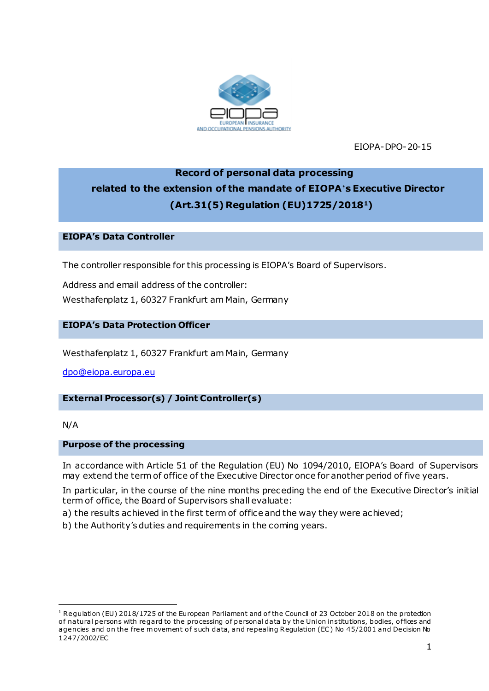

EIOPA-DPO-20-15

# **Record of personal data processing related to the extension of the mandate of EIOPA's Executive Director (Art.31(5) Regulation (EU)1725/20181)**

## **EIOPA's Data Controller**

The controller responsible for this processing is EIOPA's Board of Supervisors.

Address and email address of the controller:

Westhafenplatz 1, 60327 Frankfurt am Main, Germany

## **EIOPA's Data Protection Officer**

Westhafenplatz 1, 60327 Frankfurt am Main, Germany

[dpo@eiopa.europa.eu](mailto:dpo@eiopa.europa.eu)

# **External Processor(s) / Joint Controller(s)**

N/A

.

#### **Purpose of the processing**

In accordance with Article 51 of the Regulation (EU) No 1094/2010, EIOPA's Board of Supervisors may extend the term of office of the Executive Director once for another period of five years.

In particular, in the course of the nine months preceding the end of the Executive Director's initial term of office, the Board of Supervisors shall evaluate:

- a) the results achieved in the first term of office and the way they were achieved;
- b) the Authority's duties and requirements in the coming years.

<sup>&</sup>lt;sup>1</sup> Regulation (EU) 2018/1725 of the European Parliament and of the Council of 23 October 2018 on the protection of natural persons with regard to the processing of personal data by the Union institutions, bodies, offices and agencies and on the free movement of such data, and repealing Regulation (EC) No 45/2001 and Decision No 1247/2002/EC